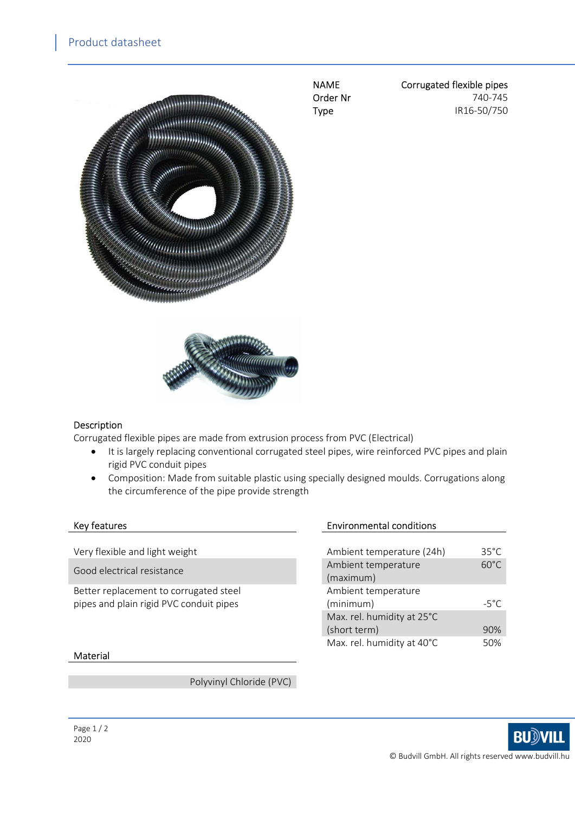

NAME Corrugated flexible pipes Order Nr 740-745 **Type IR16-50/750** 



#### Description

Corrugated flexible pipes are made from extrusion process from PVC (Electrical)

- It is largely replacing conventional corrugated steel pipes, wire reinforced PVC pipes and plain rigid PVC conduit pipes
- Composition: Made from suitable plastic using specially designed moulds. Corrugations along the circumference of the pipe provide strength

Very flexible and light weight

Good electrical resistance

Better replacement to corrugated steel pipes and plain rigid PVC conduit pipes

### Key features **Environmental conditions**

| Ambient temperature (24h)  | $35^{\circ}$ C |
|----------------------------|----------------|
| Ambient temperature        | $60^{\circ}$ C |
| (maximum)                  |                |
| Ambient temperature        |                |
|                            |                |
| (minimum)                  | $-5^{\circ}$ C |
| Max. rel. humidity at 25°C |                |
| (short term)               | 90%            |

#### Material

Polyvinyl Chloride (PVC)